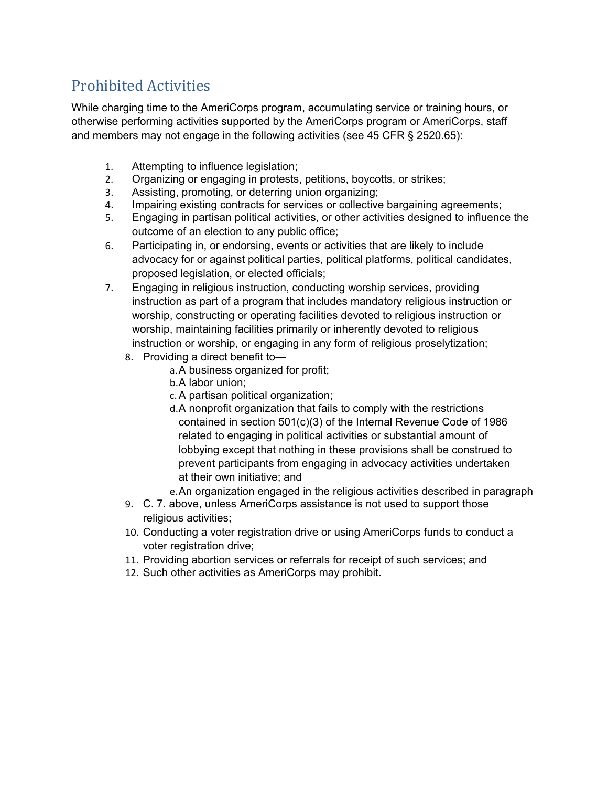## Prohibited Activities

While charging time to the AmeriCorps program, accumulating service or training hours, or otherwise performing activities supported by the AmeriCorps program or AmeriCorps, staff and members may not engage in the following activities (see 45 CFR § 2520.65):

- 1. Attempting to influence legislation;
- 2. Organizing or engaging in protests, petitions, boycotts, or strikes;
- 3. Assisting, promoting, or deterring union organizing;
- 4. Impairing existing contracts for services or collective bargaining agreements;
- 5. Engaging in partisan political activities, or other activities designed to influence the outcome of an election to any public office;
- 6. Participating in, or endorsing, events or activities that are likely to include advocacy for or against political parties, political platforms, political candidates, proposed legislation, or elected officials;
- 7. Engaging in religious instruction, conducting worship services, providing instruction as part of a program that includes mandatory religious instruction or worship, constructing or operating facilities devoted to religious instruction or worship, maintaining facilities primarily or inherently devoted to religious instruction or worship, or engaging in any form of religious proselytization;
	- 8. Providing a direct benefit to
		- a.A business organized for profit;
		- b.A labor union;
		- c.A partisan political organization;
		- d.A nonprofit organization that fails to comply with the restrictions contained in section 501(c)(3) of the Internal Revenue Code of 1986 related to engaging in political activities or substantial amount of lobbying except that nothing in these provisions shall be construed to prevent participants from engaging in advocacy activities undertaken at their own initiative; and
		- e.An organization engaged in the religious activities described in paragraph
	- 9. C. 7. above, unless AmeriCorps assistance is not used to support those religious activities;
	- 10. Conducting a voter registration drive or using AmeriCorps funds to conduct a voter registration drive;
	- 11. Providing abortion services or referrals for receipt of such services; and
	- 12. Such other activities as AmeriCorps may prohibit.